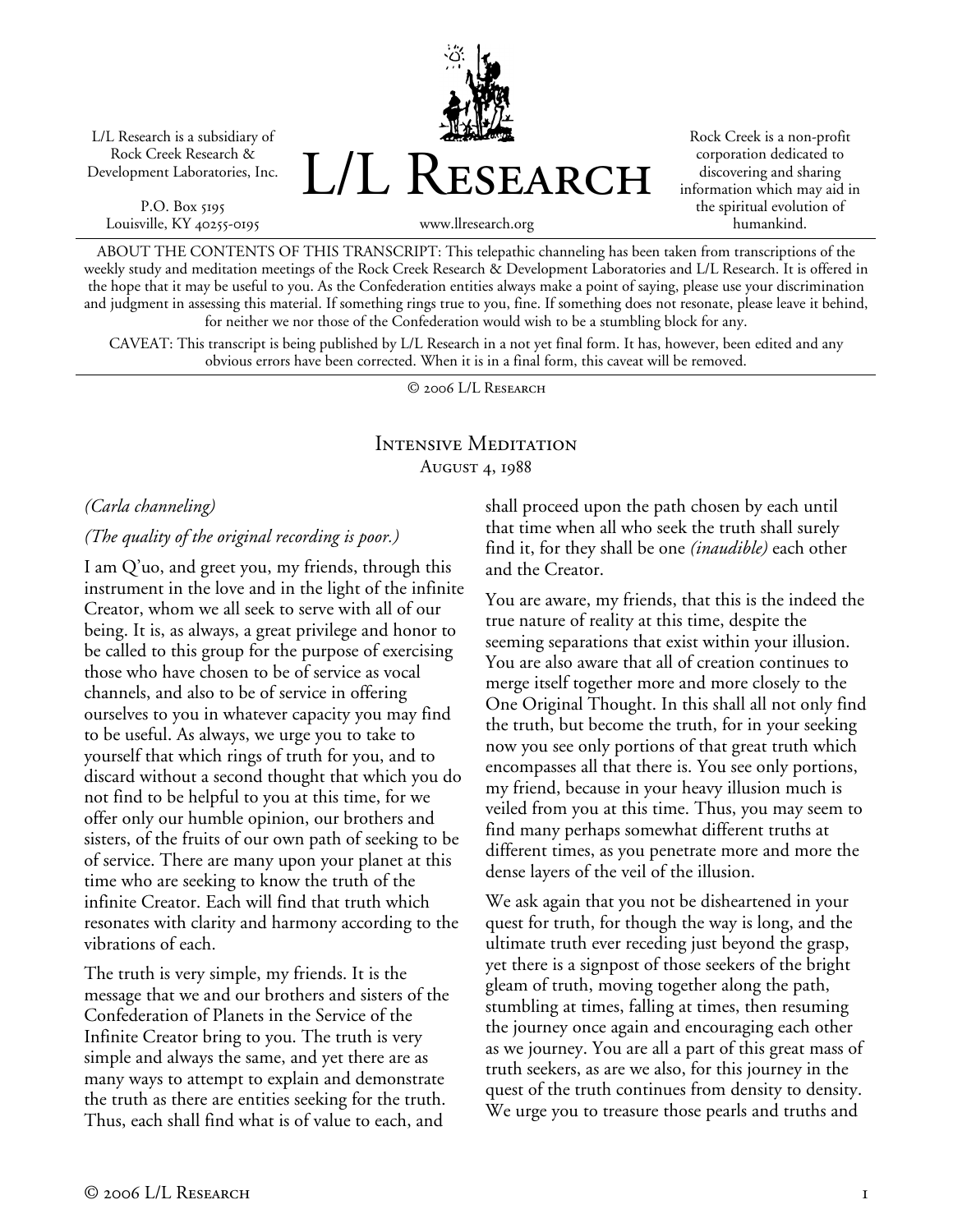L/L Research is a subsidiary of Rock Creek Research & Development Laboratories, Inc.

P.O. Box 5195 Louisville, KY 40255-0195 L/L Research

Rock Creek is a non-profit corporation dedicated to discovering and sharing information which may aid in the spiritual evolution of humankind.

www.llresearch.org

ABOUT THE CONTENTS OF THIS TRANSCRIPT: This telepathic channeling has been taken from transcriptions of the weekly study and meditation meetings of the Rock Creek Research & Development Laboratories and L/L Research. It is offered in the hope that it may be useful to you. As the Confederation entities always make a point of saying, please use your discrimination and judgment in assessing this material. If something rings true to you, fine. If something does not resonate, please leave it behind, for neither we nor those of the Confederation would wish to be a stumbling block for any.

CAVEAT: This transcript is being published by L/L Research in a not yet final form. It has, however, been edited and any obvious errors have been corrected. When it is in a final form, this caveat will be removed.

© 2006 L/L Research

# Intensive Meditation August 4, 1988

*(Carla channeling)* 

#### *(The quality of the original recording is poor.)*

I am Q'uo, and greet you, my friends, through this instrument in the love and in the light of the infinite Creator, whom we all seek to serve with all of our being. It is, as always, a great privilege and honor to be called to this group for the purpose of exercising those who have chosen to be of service as vocal channels, and also to be of service in offering ourselves to you in whatever capacity you may find to be useful. As always, we urge you to take to yourself that which rings of truth for you, and to discard without a second thought that which you do not find to be helpful to you at this time, for we offer only our humble opinion, our brothers and sisters, of the fruits of our own path of seeking to be of service. There are many upon your planet at this time who are seeking to know the truth of the infinite Creator. Each will find that truth which resonates with clarity and harmony according to the vibrations of each.

The truth is very simple, my friends. It is the message that we and our brothers and sisters of the Confederation of Planets in the Service of the Infinite Creator bring to you. The truth is very simple and always the same, and yet there are as many ways to attempt to explain and demonstrate the truth as there are entities seeking for the truth. Thus, each shall find what is of value to each, and

shall proceed upon the path chosen by each until that time when all who seek the truth shall surely find it, for they shall be one *(inaudible)* each other and the Creator.

You are aware, my friends, that this is the indeed the true nature of reality at this time, despite the seeming separations that exist within your illusion. You are also aware that all of creation continues to merge itself together more and more closely to the One Original Thought. In this shall all not only find the truth, but become the truth, for in your seeking now you see only portions of that great truth which encompasses all that there is. You see only portions, my friend, because in your heavy illusion much is veiled from you at this time. Thus, you may seem to find many perhaps somewhat different truths at different times, as you penetrate more and more the dense layers of the veil of the illusion.

We ask again that you not be disheartened in your quest for truth, for though the way is long, and the ultimate truth ever receding just beyond the grasp, yet there is a signpost of those seekers of the bright gleam of truth, moving together along the path, stumbling at times, falling at times, then resuming the journey once again and encouraging each other as we journey. You are all a part of this great mass of truth seekers, as are we also, for this journey in the quest of the truth continues from density to density. We urge you to treasure those pearls and truths and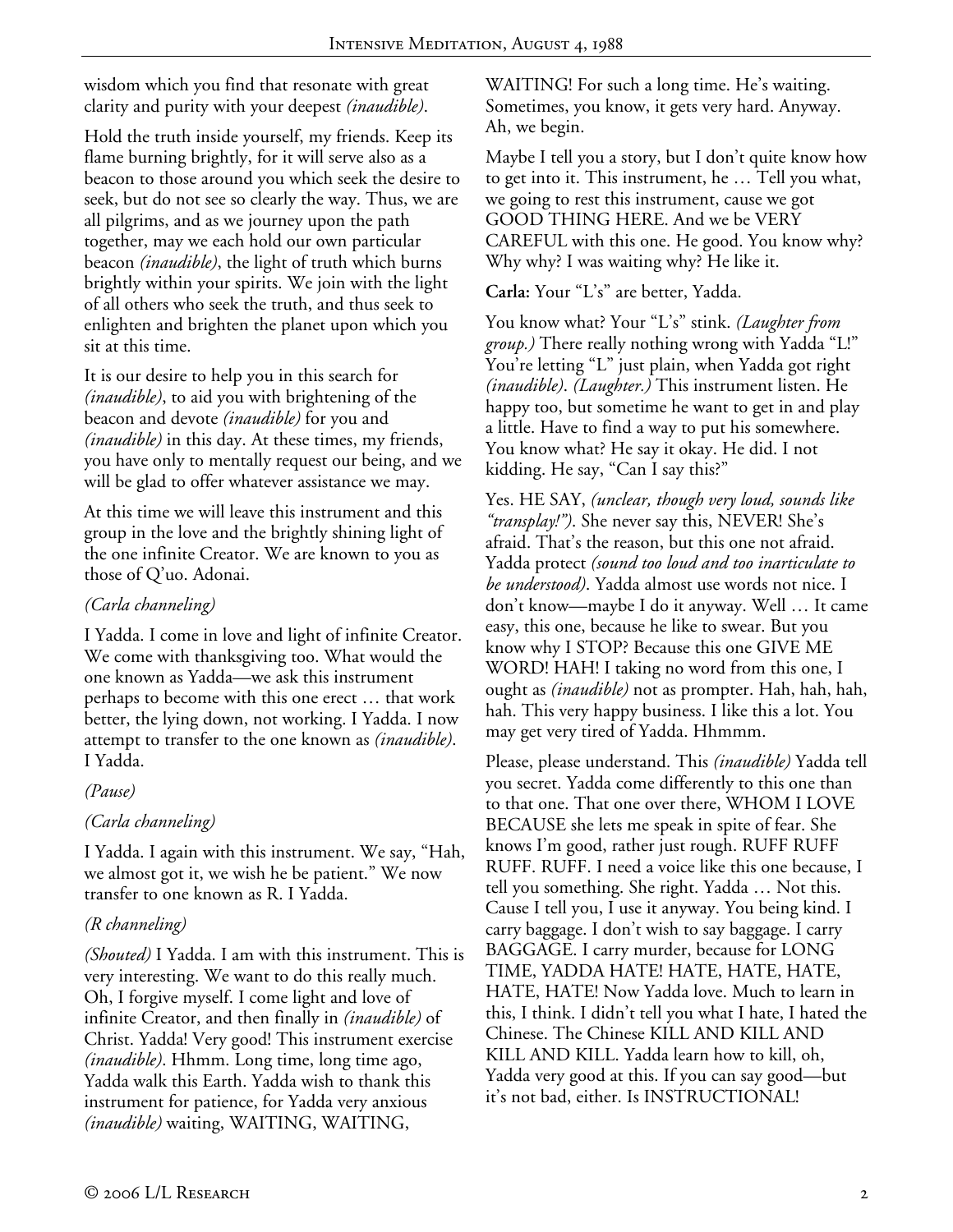wisdom which you find that resonate with great clarity and purity with your deepest *(inaudible)*.

Hold the truth inside yourself, my friends. Keep its flame burning brightly, for it will serve also as a beacon to those around you which seek the desire to seek, but do not see so clearly the way. Thus, we are all pilgrims, and as we journey upon the path together, may we each hold our own particular beacon *(inaudible)*, the light of truth which burns brightly within your spirits. We join with the light of all others who seek the truth, and thus seek to enlighten and brighten the planet upon which you sit at this time.

It is our desire to help you in this search for *(inaudible)*, to aid you with brightening of the beacon and devote *(inaudible)* for you and *(inaudible)* in this day. At these times, my friends, you have only to mentally request our being, and we will be glad to offer whatever assistance we may.

At this time we will leave this instrument and this group in the love and the brightly shining light of the one infinite Creator. We are known to you as those of Q'uo. Adonai.

# *(Carla channeling)*

I Yadda. I come in love and light of infinite Creator. We come with thanksgiving too. What would the one known as Yadda—we ask this instrument perhaps to become with this one erect … that work better, the lying down, not working. I Yadda. I now attempt to transfer to the one known as *(inaudible)*. I Yadda.

### *(Pause)*

### *(Carla channeling)*

I Yadda. I again with this instrument. We say, "Hah, we almost got it, we wish he be patient." We now transfer to one known as R. I Yadda.

# *(R channeling)*

*(Shouted)* I Yadda. I am with this instrument. This is very interesting. We want to do this really much. Oh, I forgive myself. I come light and love of infinite Creator, and then finally in *(inaudible)* of Christ. Yadda! Very good! This instrument exercise *(inaudible)*. Hhmm. Long time, long time ago, Yadda walk this Earth. Yadda wish to thank this instrument for patience, for Yadda very anxious *(inaudible)* waiting, WAITING, WAITING,

WAITING! For such a long time. He's waiting. Sometimes, you know, it gets very hard. Anyway. Ah, we begin.

Maybe I tell you a story, but I don't quite know how to get into it. This instrument, he … Tell you what, we going to rest this instrument, cause we got GOOD THING HERE. And we be VERY CAREFUL with this one. He good. You know why? Why why? I was waiting why? He like it.

## **Carla:** Your "L's" are better, Yadda.

You know what? Your "L's" stink. *(Laughter from group.)* There really nothing wrong with Yadda "L!" You're letting "L" just plain, when Yadda got right *(inaudible)*. *(Laughter.)* This instrument listen. He happy too, but sometime he want to get in and play a little. Have to find a way to put his somewhere. You know what? He say it okay. He did. I not kidding. He say, "Can I say this?"

Yes. HE SAY, *(unclear, though very loud, sounds like "transplay!")*. She never say this, NEVER! She's afraid. That's the reason, but this one not afraid. Yadda protect *(sound too loud and too inarticulate to be understood)*. Yadda almost use words not nice. I don't know—maybe I do it anyway. Well … It came easy, this one, because he like to swear. But you know why I STOP? Because this one GIVE ME WORD! HAH! I taking no word from this one, I ought as *(inaudible)* not as prompter. Hah, hah, hah, hah. This very happy business. I like this a lot. You may get very tired of Yadda. Hhmmm.

Please, please understand. This *(inaudible)* Yadda tell you secret. Yadda come differently to this one than to that one. That one over there, WHOM I LOVE BECAUSE she lets me speak in spite of fear. She knows I'm good, rather just rough. RUFF RUFF RUFF. RUFF. I need a voice like this one because, I tell you something. She right. Yadda … Not this. Cause I tell you, I use it anyway. You being kind. I carry baggage. I don't wish to say baggage. I carry BAGGAGE. I carry murder, because for LONG TIME, YADDA HATE! HATE, HATE, HATE, HATE, HATE! Now Yadda love. Much to learn in this, I think. I didn't tell you what I hate, I hated the Chinese. The Chinese KILL AND KILL AND KILL AND KILL. Yadda learn how to kill, oh, Yadda very good at this. If you can say good—but it's not bad, either. Is INSTRUCTIONAL!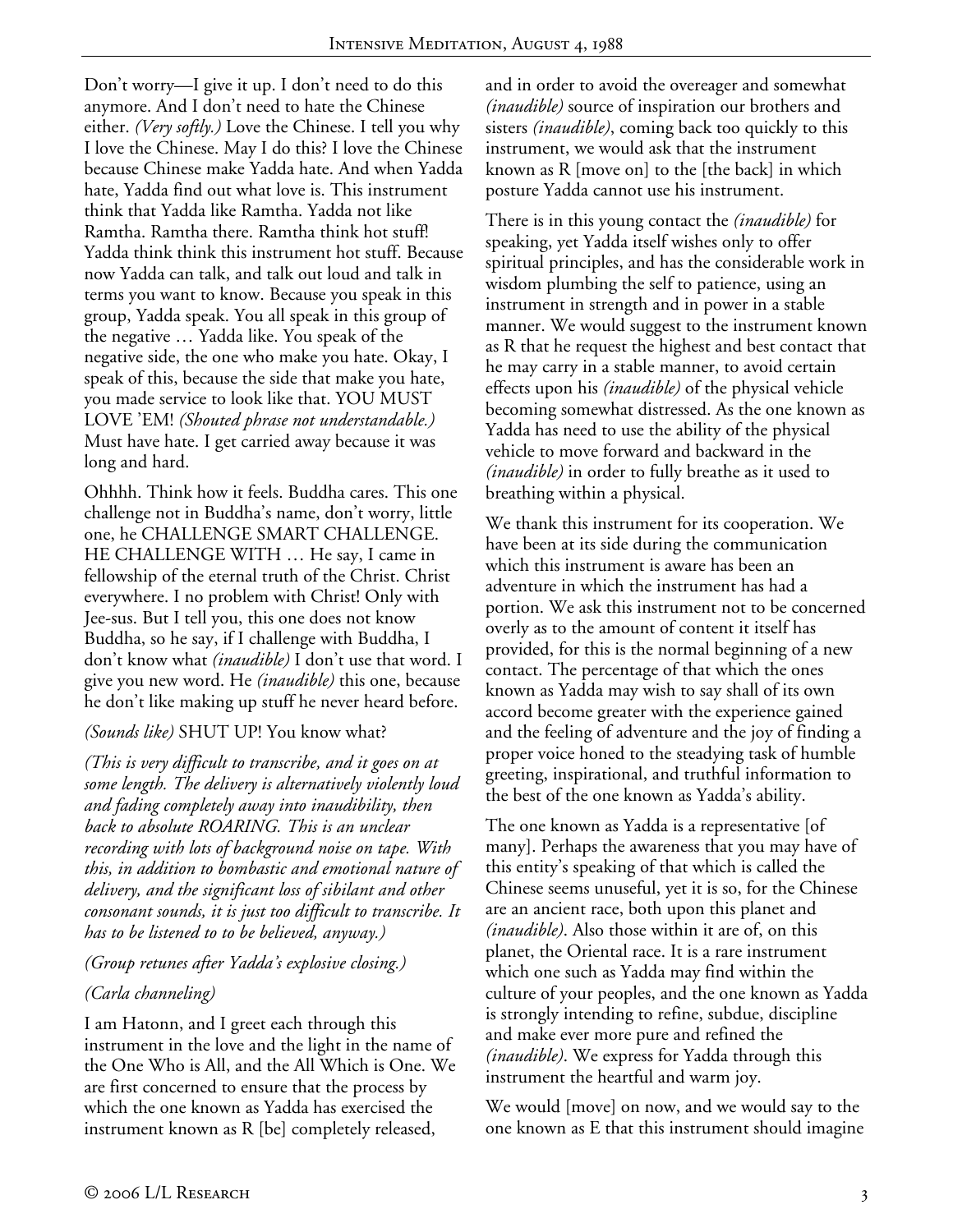Don't worry—I give it up. I don't need to do this anymore. And I don't need to hate the Chinese either. *(Very softly.)* Love the Chinese. I tell you why I love the Chinese. May I do this? I love the Chinese because Chinese make Yadda hate. And when Yadda hate, Yadda find out what love is. This instrument think that Yadda like Ramtha. Yadda not like Ramtha. Ramtha there. Ramtha think hot stuff! Yadda think think this instrument hot stuff. Because now Yadda can talk, and talk out loud and talk in terms you want to know. Because you speak in this group, Yadda speak. You all speak in this group of the negative … Yadda like. You speak of the negative side, the one who make you hate. Okay, I speak of this, because the side that make you hate, you made service to look like that. YOU MUST LOVE 'EM! *(Shouted phrase not understandable.)* Must have hate. I get carried away because it was long and hard.

Ohhhh. Think how it feels. Buddha cares. This one challenge not in Buddha's name, don't worry, little one, he CHALLENGE SMART CHALLENGE. HE CHALLENGE WITH … He say, I came in fellowship of the eternal truth of the Christ. Christ everywhere. I no problem with Christ! Only with Jee-sus. But I tell you, this one does not know Buddha, so he say, if I challenge with Buddha, I don't know what *(inaudible)* I don't use that word. I give you new word. He *(inaudible)* this one, because he don't like making up stuff he never heard before.

### *(Sounds like)* SHUT UP! You know what?

*(This is very difficult to transcribe, and it goes on at some length. The delivery is alternatively violently loud and fading completely away into inaudibility, then back to absolute ROARING. This is an unclear recording with lots of background noise on tape. With this, in addition to bombastic and emotional nature of delivery, and the significant loss of sibilant and other consonant sounds, it is just too difficult to transcribe. It has to be listened to to be believed, anyway.)* 

### *(Group retunes after Yadda's explosive closing.)*

# *(Carla channeling)*

I am Hatonn, and I greet each through this instrument in the love and the light in the name of the One Who is All, and the All Which is One. We are first concerned to ensure that the process by which the one known as Yadda has exercised the instrument known as R [be] completely released,

and in order to avoid the overeager and somewhat *(inaudible)* source of inspiration our brothers and sisters *(inaudible)*, coming back too quickly to this instrument, we would ask that the instrument known as R [move on] to the [the back] in which posture Yadda cannot use his instrument.

There is in this young contact the *(inaudible)* for speaking, yet Yadda itself wishes only to offer spiritual principles, and has the considerable work in wisdom plumbing the self to patience, using an instrument in strength and in power in a stable manner. We would suggest to the instrument known as R that he request the highest and best contact that he may carry in a stable manner, to avoid certain effects upon his *(inaudible)* of the physical vehicle becoming somewhat distressed. As the one known as Yadda has need to use the ability of the physical vehicle to move forward and backward in the *(inaudible)* in order to fully breathe as it used to breathing within a physical.

We thank this instrument for its cooperation. We have been at its side during the communication which this instrument is aware has been an adventure in which the instrument has had a portion. We ask this instrument not to be concerned overly as to the amount of content it itself has provided, for this is the normal beginning of a new contact. The percentage of that which the ones known as Yadda may wish to say shall of its own accord become greater with the experience gained and the feeling of adventure and the joy of finding a proper voice honed to the steadying task of humble greeting, inspirational, and truthful information to the best of the one known as Yadda's ability.

The one known as Yadda is a representative [of many]. Perhaps the awareness that you may have of this entity's speaking of that which is called the Chinese seems unuseful, yet it is so, for the Chinese are an ancient race, both upon this planet and *(inaudible)*. Also those within it are of, on this planet, the Oriental race. It is a rare instrument which one such as Yadda may find within the culture of your peoples, and the one known as Yadda is strongly intending to refine, subdue, discipline and make ever more pure and refined the *(inaudible)*. We express for Yadda through this instrument the heartful and warm joy.

We would [move] on now, and we would say to the one known as E that this instrument should imagine